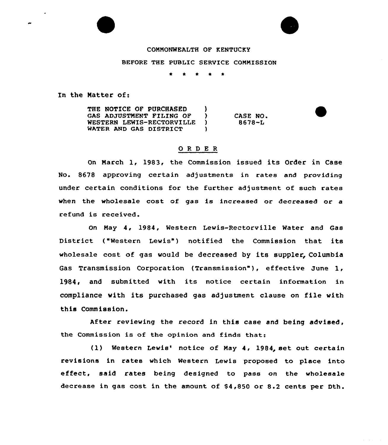# COMMONWEALTH OF KENTUCKY

#### BEFORE THE PUBLIC SERVICE COMMISSION

\*

In the Matter of:

THE NOTICE OF PURCHASED )<br>GAS ADJUSTMENT FILING OF ) GAS ADJUSTMENT FILING OF )<br>WESTERN LEWIS-RECTORVILLE ) WESTERN LEWIS-RECTORVILLE )<br>WATER AND GAS DISTRICT ) WATER AND GAS DISTRICT CASE NO. 8678-L

## ORDER

On March 1, 1983, the Commission issued its Order in Case No. 8678 approving certain adjustments in rates and providing under certain conditions for the further adjustment of such rates when the wholesale cost of gas is increased or decreased or a refund is received.

On May 4, 1984, Western Lewis-Rectorville Water and Gas District ("Western Lewis") notified the Commission that its wholesale cost of gas would be decreased by its suppler, Columbia Gas Transmission Corporation (Transmission" ), effective June 1, 1984, and submitted with its notice certain information in compliance with its purchased gas adjustment clause on file with this Commission.

After reviewing the record in this case and being advised, the Commission is of the opinion and finds that:

(1) Western Lewis' notice of May 4, 1984, set out certain revisions in rates which Western Lewis proposed to place into effect, said rates being designed to pass on the wholesale decrease in gas cost in the amount of \$4,850 or 8.2 cents per Dth.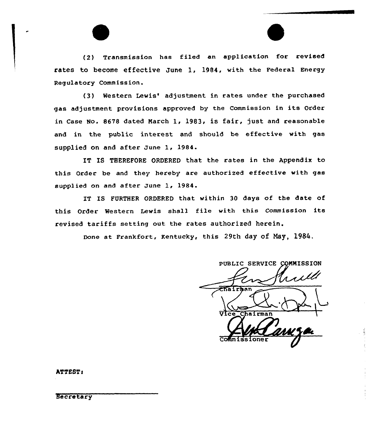(2) Transmission has filed an application for revised rates to become effective June 1, 1984, with the Federal Energy Regulatory Commission.

(3) Western Lewis' adjustment in rates under the purchased gas adjustment provisions approved by the Commission in its Order in Case No. 8678 dated Narch 1, 1983, is fair, just and reasonable and in the public interest and should be effective with gas supplied on and after June 1, 1984.

IT IS THEREFORE ORDERED that the rates in the Appendix to this Order be and they hereby are authorized effective with gas supplied on and after June 1, 1984.

IT IS FURTHER ORDERED that within 30 days of the date of this Order Western Lewis shall file with this Commission its revised tariffs setting out the rates authorized herein.

Done at Frankfort, Kentucky, this 29th day of Nay, 1984.

PUBLIC SERVICE COMMISSION trull Chairman **Trmar** Commissione

ATTEST:

Secretary